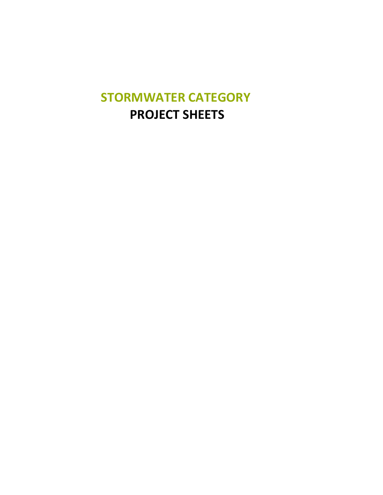# **STORMWATER CATEGORY PROJECT SHEETS**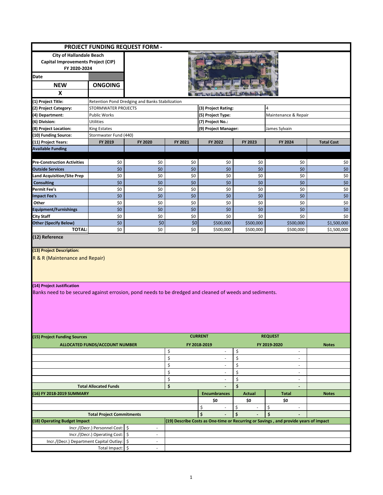|                                                                                                                                                                         |                                       | PROJECT FUNDING REQUEST FORM -                  |            |                                       |                                       |                                                                                      |                   |  |  |  |
|-------------------------------------------------------------------------------------------------------------------------------------------------------------------------|---------------------------------------|-------------------------------------------------|------------|---------------------------------------|---------------------------------------|--------------------------------------------------------------------------------------|-------------------|--|--|--|
| <b>City of Hallandale Beach</b>                                                                                                                                         |                                       |                                                 |            |                                       |                                       |                                                                                      |                   |  |  |  |
| Capital Improvements Project (CIP)                                                                                                                                      |                                       |                                                 |            |                                       |                                       |                                                                                      |                   |  |  |  |
| FY 2020-2024                                                                                                                                                            |                                       |                                                 |            |                                       |                                       |                                                                                      |                   |  |  |  |
| Date                                                                                                                                                                    |                                       |                                                 |            |                                       |                                       |                                                                                      |                   |  |  |  |
| <b>NEW</b>                                                                                                                                                              | <b>ONGOING</b>                        |                                                 |            |                                       |                                       |                                                                                      |                   |  |  |  |
| X                                                                                                                                                                       |                                       |                                                 |            |                                       |                                       |                                                                                      |                   |  |  |  |
|                                                                                                                                                                         |                                       |                                                 |            | that is a serious and the said        |                                       |                                                                                      |                   |  |  |  |
| (1) Project Title:                                                                                                                                                      |                                       | Retention Pond Dredging and Banks Stabilization |            |                                       |                                       |                                                                                      |                   |  |  |  |
| (2) Project Category:                                                                                                                                                   | STORMWATER PROJECTS                   |                                                 |            | (3) Project Rating:                   |                                       | 4                                                                                    |                   |  |  |  |
| (4) Department:                                                                                                                                                         | Public Works                          |                                                 |            | (5) Project Type:                     |                                       | Maintenance & Repair                                                                 |                   |  |  |  |
| (6) Division:                                                                                                                                                           | Utilities                             |                                                 |            | (7) Project No.:                      |                                       |                                                                                      |                   |  |  |  |
| (8) Project Location:                                                                                                                                                   | King Estates                          |                                                 |            | (9) Project Manager:                  |                                       | James Sylvain                                                                        |                   |  |  |  |
| (10) Funding Source:                                                                                                                                                    | Stormwater Fund (440)                 |                                                 |            |                                       |                                       |                                                                                      |                   |  |  |  |
| I<br>(11) Project Years:                                                                                                                                                | FY 2019                               | FY 2020                                         | FY 2021    | FY 2022                               | FY 2023                               | FY 2024                                                                              | <b>Total Cost</b> |  |  |  |
| <b>Available Funding</b>                                                                                                                                                |                                       |                                                 |            |                                       |                                       |                                                                                      |                   |  |  |  |
|                                                                                                                                                                         |                                       |                                                 |            |                                       |                                       |                                                                                      |                   |  |  |  |
| <b>Pre-Construction Activities</b>                                                                                                                                      | \$0                                   | \$0                                             | \$0        | \$0                                   | \$0                                   | \$0                                                                                  | \$0               |  |  |  |
| <b>Outside Services</b>                                                                                                                                                 | \$0                                   | \$0                                             | \$0        | \$0                                   | \$0                                   | \$0                                                                                  | \$0               |  |  |  |
| ľ<br>Land Acquisition/Site Prep                                                                                                                                         | \$0                                   | \$0                                             | \$0        | \$0                                   | \$0                                   | \$0                                                                                  | \$0               |  |  |  |
| <b>Consulting</b>                                                                                                                                                       | \$0                                   | \$0                                             | \$0        | \$0                                   | \$0                                   | \$0                                                                                  | $$0$              |  |  |  |
| <b>Permit Fee's</b>                                                                                                                                                     | \$0                                   | \$0                                             | \$0<br>\$0 | \$0                                   | \$0<br>\$0                            | \$0                                                                                  | \$0               |  |  |  |
| <b>Impact Fee's</b>                                                                                                                                                     | \$0                                   | \$0                                             |            | \$0                                   |                                       | \$0                                                                                  | \$0               |  |  |  |
| Other                                                                                                                                                                   | \$0                                   | \$0                                             | \$0        | \$0                                   | \$0                                   | \$0                                                                                  | \$0               |  |  |  |
| <b>Equipment/Furnishings</b>                                                                                                                                            | \$0                                   | \$0                                             | \$0        | \$0                                   | \$0                                   | \$0                                                                                  | \$0               |  |  |  |
| <b>City Staff</b>                                                                                                                                                       | \$0                                   | \$0<br>\$0                                      | \$0<br>\$0 | \$0                                   | \$0                                   | \$0                                                                                  | \$0               |  |  |  |
| <b>Other (Specify Below)</b><br><b>TOTAL:</b>                                                                                                                           | \$0<br>\$0                            | \$0                                             | \$0        | \$500,000                             | \$500,000                             | \$500,000                                                                            | \$1,500,000       |  |  |  |
| (12) Reference                                                                                                                                                          |                                       |                                                 |            | \$500,000                             | \$500,000                             | \$500,000                                                                            | \$1,500,000       |  |  |  |
|                                                                                                                                                                         |                                       |                                                 |            |                                       |                                       |                                                                                      |                   |  |  |  |
| R & R (Maintenance and Repair)<br>(14) Project Justification<br>Banks need to be secured against errosion, pond needs to be dredged and cleaned of weeds and sediments. |                                       |                                                 |            |                                       |                                       |                                                                                      |                   |  |  |  |
| <b>CURRENT</b><br><b>REQUEST</b><br>(15) Project Funding Sources                                                                                                        |                                       |                                                 |            |                                       |                                       |                                                                                      |                   |  |  |  |
|                                                                                                                                                                         | <b>ALLOCATED FUNDS/ACCOUNT NUMBER</b> |                                                 | \$         | FY 2018-2019<br>÷,                    | \$                                    | FY 2019-2020<br>$\overline{\phantom{a}}$                                             | <b>Notes</b>      |  |  |  |
|                                                                                                                                                                         |                                       |                                                 | \$         | $\overline{\phantom{a}}$              | \$                                    | ٠                                                                                    |                   |  |  |  |
|                                                                                                                                                                         |                                       |                                                 | \$         | $\frac{1}{2}$                         | \$                                    | $\overline{\phantom{a}}$                                                             |                   |  |  |  |
|                                                                                                                                                                         |                                       |                                                 |            | ÷,                                    | \$                                    | $\overline{\phantom{a}}$                                                             |                   |  |  |  |
| \$<br>\$                                                                                                                                                                |                                       |                                                 |            | ٠                                     | \$                                    | ٠                                                                                    |                   |  |  |  |
|                                                                                                                                                                         |                                       |                                                 |            |                                       |                                       |                                                                                      |                   |  |  |  |
|                                                                                                                                                                         | <b>Total Allocated Funds</b>          |                                                 | \$         | $\overline{\phantom{a}}$              | \$                                    |                                                                                      |                   |  |  |  |
| (16) FY 2018-2019 SUMMARY                                                                                                                                               |                                       |                                                 |            | <b>Encumbrances</b>                   | <b>Actual</b>                         | <b>Total</b>                                                                         | <b>Notes</b>      |  |  |  |
|                                                                                                                                                                         |                                       |                                                 |            | \$0<br>\$<br>$\overline{\phantom{a}}$ | \$0<br>\$<br>$\overline{\phantom{a}}$ | \$0<br>\$<br>$\overline{\phantom{a}}$                                                |                   |  |  |  |
|                                                                                                                                                                         |                                       |                                                 |            | \$                                    | \$                                    | \$                                                                                   |                   |  |  |  |
| (18) Operating Budget Impact                                                                                                                                            | <b>Total Project Commitments</b>      |                                                 |            |                                       |                                       | (19) Describe Costs as One-time or Recurring or Savings, and provide years of impact |                   |  |  |  |
|                                                                                                                                                                         | Incr./(Decr.) Personnel Cost:         | ∣\$<br>$\overline{\phantom{a}}$                 |            |                                       |                                       |                                                                                      |                   |  |  |  |
|                                                                                                                                                                         | Incr./(Decr.) Operating Cost: \$      | $\overline{\phantom{a}}$                        |            |                                       |                                       |                                                                                      |                   |  |  |  |
| Incr./(Decr.) Department Capital Outlay:                                                                                                                                |                                       | l\$<br>ä,                                       |            |                                       |                                       |                                                                                      |                   |  |  |  |
|                                                                                                                                                                         | Total Impact: \$                      |                                                 |            |                                       |                                       |                                                                                      |                   |  |  |  |
|                                                                                                                                                                         |                                       |                                                 |            |                                       |                                       |                                                                                      |                   |  |  |  |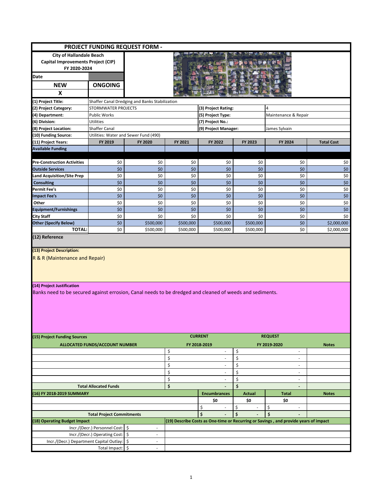|                                                                                                                                        |                                       | PROJECT FUNDING REQUEST FORM -                 |           |                                |                                |                                                                                      |                   |  |  |
|----------------------------------------------------------------------------------------------------------------------------------------|---------------------------------------|------------------------------------------------|-----------|--------------------------------|--------------------------------|--------------------------------------------------------------------------------------|-------------------|--|--|
| <b>City of Hallandale Beach</b>                                                                                                        |                                       |                                                |           |                                |                                |                                                                                      |                   |  |  |
| Capital Improvements Project (CIP)                                                                                                     |                                       |                                                |           |                                |                                |                                                                                      |                   |  |  |
| FY 2020-2024                                                                                                                           |                                       |                                                |           |                                |                                |                                                                                      |                   |  |  |
| <b>Date</b>                                                                                                                            |                                       |                                                |           |                                |                                |                                                                                      |                   |  |  |
| <b>NEW</b>                                                                                                                             | <b>ONGOING</b>                        |                                                |           |                                |                                |                                                                                      |                   |  |  |
| X                                                                                                                                      |                                       |                                                |           |                                |                                |                                                                                      |                   |  |  |
| (1) Project Title:                                                                                                                     |                                       | Shaffer Canal Dredging and Banks Stabilization |           |                                |                                |                                                                                      |                   |  |  |
| (2) Project Category:                                                                                                                  | STORMWATER PROJECTS                   |                                                |           | (3) Project Rating:            |                                | 4                                                                                    |                   |  |  |
| (4) Department:                                                                                                                        | <b>Public Works</b>                   |                                                |           | (5) Project Type:              |                                | Maintenance & Repair                                                                 |                   |  |  |
| (6) Division:                                                                                                                          | Utilities                             |                                                |           | (7) Project No.:               |                                |                                                                                      |                   |  |  |
| (8) Project Location:                                                                                                                  | Shaffer Canal                         |                                                |           | (9) Project Manager:           |                                | James Sylvain                                                                        |                   |  |  |
| (10) Funding Source:                                                                                                                   | Utilities: Water and Sewer Fund (490) |                                                |           |                                |                                |                                                                                      |                   |  |  |
| (11) Project Years:                                                                                                                    | FY 2019                               | FY 2020                                        | FY 2021   | FY 2022                        | FY 2023                        | FY 2024                                                                              | <b>Total Cost</b> |  |  |
| <b>Available Funding</b>                                                                                                               |                                       |                                                |           |                                |                                |                                                                                      |                   |  |  |
|                                                                                                                                        |                                       |                                                |           |                                |                                |                                                                                      |                   |  |  |
| <b>Pre-Construction Activities</b>                                                                                                     | \$0                                   | \$0                                            | \$0       | \$0                            | \$0                            | \$0                                                                                  | \$0               |  |  |
| <b>Outside Services</b>                                                                                                                | \$0                                   | \$0                                            | \$0       | \$0                            | \$0                            | \$0                                                                                  | \$0               |  |  |
| Land Acquisition/Site Prep                                                                                                             | \$0                                   | \$0                                            | \$0       | \$0                            | \$0                            | \$0                                                                                  | \$0               |  |  |
| <b>Consulting</b>                                                                                                                      | \$0                                   | \$0                                            | \$0       | \$0                            | \$0                            | \$0                                                                                  | \$0               |  |  |
| <b>Permit Fee's</b>                                                                                                                    | \$0                                   | \$0                                            | \$0       | \$0                            | \$0                            | \$0                                                                                  | \$0               |  |  |
| <b>Impact Fee's</b>                                                                                                                    | \$0                                   | \$0                                            | \$0       | \$0                            | \$0                            | \$0                                                                                  | \$0               |  |  |
| Other                                                                                                                                  | \$0                                   | \$0                                            | \$0       | \$0                            | \$0                            | \$0                                                                                  | \$0               |  |  |
| <b>Equipment/Furnishings</b>                                                                                                           | \$0                                   | \$0                                            | \$0       | \$0                            | \$0                            | \$0                                                                                  | \$0               |  |  |
| <b>City Staff</b>                                                                                                                      | \$0                                   | \$0                                            | \$0       | \$0                            | \$0                            | \$0                                                                                  | \$0               |  |  |
| <b>Other (Specify Below)</b>                                                                                                           | \$0                                   | \$500,000                                      | \$500,000 | \$500,000                      | \$500,000                      | \$0                                                                                  | \$2,000,000       |  |  |
| <b>TOTAL:</b><br>(12) Reference                                                                                                        | \$0                                   | \$500,000                                      | \$500,000 | \$500,000                      | \$500,000                      | \$0                                                                                  | \$2,000,000       |  |  |
| (13) Project Description:<br>R & R (Maintenance and Repair)                                                                            |                                       |                                                |           |                                |                                |                                                                                      |                   |  |  |
| (14) Project Justification<br>Banks need to be secured against errosion, Canal needs to be dredged and cleaned of weeds and sediments. |                                       |                                                |           |                                |                                |                                                                                      |                   |  |  |
| (15) Project Funding Sources                                                                                                           |                                       |                                                |           | <b>CURRENT</b>                 |                                | <b>REQUEST</b>                                                                       |                   |  |  |
|                                                                                                                                        | ALLOCATED FUNDS/ACCOUNT NUMBER        |                                                |           | FY 2018-2019                   |                                | FY 2019-2020                                                                         | <b>Notes</b>      |  |  |
|                                                                                                                                        |                                       |                                                | \$        | ä,                             | \$                             | $\overline{\phantom{a}}$                                                             |                   |  |  |
|                                                                                                                                        |                                       |                                                | \$        | $\overline{\phantom{a}}$       | \$                             | $\overline{\phantom{a}}$                                                             |                   |  |  |
|                                                                                                                                        |                                       |                                                | \$        | ٠                              | \$                             | ÷.                                                                                   |                   |  |  |
|                                                                                                                                        |                                       |                                                | \$        | ٠                              | \$                             | $\overline{\phantom{a}}$                                                             |                   |  |  |
|                                                                                                                                        |                                       |                                                | \$        |                                | \$                             | $\overline{\phantom{a}}$                                                             |                   |  |  |
|                                                                                                                                        | <b>Total Allocated Funds</b>          |                                                | \$        | $\overline{a}$                 | \$                             | $\overline{\phantom{a}}$                                                             |                   |  |  |
| (16) FY 2018-2019 SUMMARY                                                                                                              |                                       |                                                |           | <b>Encumbrances</b>            | <b>Actual</b>                  | <b>Total</b>                                                                         | <b>Notes</b>      |  |  |
|                                                                                                                                        |                                       |                                                |           | \$0                            | \$0                            | \$0                                                                                  |                   |  |  |
|                                                                                                                                        |                                       |                                                |           | \$<br>$\overline{\phantom{a}}$ | \$<br>$\overline{\phantom{a}}$ | \$<br>$\overline{\phantom{a}}$                                                       |                   |  |  |
|                                                                                                                                        | <b>Total Project Commitments</b>      |                                                |           | \$                             | \$                             | \$                                                                                   |                   |  |  |
| (18) Operating Budget Impact                                                                                                           |                                       |                                                |           |                                |                                | (19) Describe Costs as One-time or Recurring or Savings, and provide years of impact |                   |  |  |
|                                                                                                                                        | Incr./(Decr.) Personnel Cost: \$      | $\overline{\phantom{a}}$                       |           |                                |                                |                                                                                      |                   |  |  |
|                                                                                                                                        | Incr./(Decr.) Operating Cost: \$      | $\overline{\phantom{a}}$                       |           |                                |                                |                                                                                      |                   |  |  |
| Incr./(Decr.) Department Capital Outlay:   \$                                                                                          |                                       | $\overline{\phantom{a}}$                       |           |                                |                                |                                                                                      |                   |  |  |
|                                                                                                                                        | Total Impact: \$                      |                                                |           |                                |                                |                                                                                      |                   |  |  |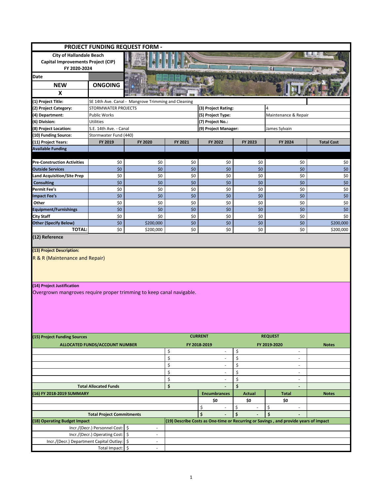|                                                                                                                                                                   |                                  | <b>PROJECT FUNDING REQUEST FORM -</b>               |         |                                |                                |                                                                                      |                   |
|-------------------------------------------------------------------------------------------------------------------------------------------------------------------|----------------------------------|-----------------------------------------------------|---------|--------------------------------|--------------------------------|--------------------------------------------------------------------------------------|-------------------|
| <b>City of Hallandale Beach</b>                                                                                                                                   |                                  |                                                     |         |                                |                                |                                                                                      |                   |
| Capital Improvements Project (CIP)                                                                                                                                |                                  |                                                     |         |                                |                                |                                                                                      |                   |
| FY 2020-2024                                                                                                                                                      |                                  |                                                     |         |                                |                                | 明                                                                                    |                   |
| <b>Date</b>                                                                                                                                                       |                                  |                                                     |         |                                |                                |                                                                                      |                   |
| <b>NEW</b>                                                                                                                                                        | <b>ONGOING</b>                   |                                                     |         |                                |                                |                                                                                      |                   |
| X                                                                                                                                                                 |                                  |                                                     |         |                                |                                |                                                                                      |                   |
|                                                                                                                                                                   |                                  |                                                     |         |                                |                                |                                                                                      |                   |
| (1) Project Title:                                                                                                                                                |                                  | SE 14th Ave. Canal - Mangrove Trimming and Cleaning |         |                                |                                |                                                                                      |                   |
| (2) Project Category:                                                                                                                                             | STORMWATER PROJECTS              |                                                     |         | (3) Project Rating:            |                                | 4                                                                                    |                   |
| (4) Department:<br>(6) Division:                                                                                                                                  | Public Works                     |                                                     |         | (5) Project Type:              |                                | Maintenance & Repair                                                                 |                   |
|                                                                                                                                                                   | Utilities                        |                                                     |         | (7) Project No.:               |                                |                                                                                      |                   |
| (8) Project Location:                                                                                                                                             | S.E. 14th Ave. - Canal           |                                                     |         | (9) Project Manager:           |                                | James Sylvain                                                                        |                   |
| (10) Funding Source:                                                                                                                                              | Stormwater Fund (440)            |                                                     |         |                                |                                |                                                                                      |                   |
| (11) Project Years:                                                                                                                                               | FY 2019                          | FY 2020                                             | FY 2021 | FY 2022                        | FY 2023                        | FY 2024                                                                              | <b>Total Cost</b> |
| <b>Available Funding</b>                                                                                                                                          |                                  |                                                     |         |                                |                                |                                                                                      |                   |
|                                                                                                                                                                   |                                  |                                                     |         |                                |                                |                                                                                      |                   |
| <b>Pre-Construction Activities</b>                                                                                                                                | \$0                              | \$0                                                 | \$0     | \$0                            | \$0                            | \$0                                                                                  | \$0               |
| <b>Outside Services</b>                                                                                                                                           | \$0                              | \$0                                                 | \$0     | \$0                            | \$0                            | \$0                                                                                  | $$0$$             |
| Land Acquisition/Site Prep                                                                                                                                        | \$0                              | \$0                                                 | \$0     | \$0                            | \$0                            | \$0                                                                                  | \$0               |
| <b>Consulting</b>                                                                                                                                                 | \$0                              | \$0                                                 | \$0     | \$0                            | \$0                            | \$0                                                                                  | $$0$$             |
| <b>Permit Fee's</b>                                                                                                                                               | \$0                              | \$0                                                 | \$0     | \$0                            | \$0                            | \$0                                                                                  | \$0               |
| <b>Impact Fee's</b>                                                                                                                                               | \$0                              | \$0                                                 | \$0     | \$0                            | \$0                            | \$0                                                                                  | \$0               |
| Other                                                                                                                                                             | \$0                              | \$0                                                 | \$0     | \$0                            | \$0                            | \$0                                                                                  | \$0               |
| Equipment/Furnishings                                                                                                                                             | \$0                              | \$0                                                 | \$0     | \$0                            | \$0                            | \$0                                                                                  | $$0$$             |
| <b>City Staff</b>                                                                                                                                                 | \$0                              | \$0                                                 | \$0     | \$0                            | \$0                            | \$0                                                                                  | \$0               |
| <b>Other (Specify Below)</b>                                                                                                                                      | \$0                              | \$200,000                                           | \$0     | \$0                            | \$0                            | \$0                                                                                  | \$200,000         |
| <b>TOTAL:</b><br>(12) Reference                                                                                                                                   | \$0                              | \$200,000                                           | \$0     | \$0                            | \$0                            | \$0                                                                                  | \$200,000         |
| (13) Project Description:<br>R & R (Maintenance and Repair)<br>(14) Project Justification<br>Overgrown mangroves require proper trimming to keep canal navigable. |                                  |                                                     |         |                                |                                |                                                                                      |                   |
| (15) Project Funding Sources<br>ALLOCATED FUNDS/ACCOUNT NUMBER                                                                                                    |                                  |                                                     |         | <b>CURRENT</b><br>FY 2018-2019 |                                | <b>REQUEST</b><br>FY 2019-2020                                                       | <b>Notes</b>      |
|                                                                                                                                                                   |                                  |                                                     | \$      | ÷,                             | \$                             | ÷,                                                                                   |                   |
|                                                                                                                                                                   |                                  |                                                     | \$      | $\overline{a}$                 | \$                             | $\overline{a}$                                                                       |                   |
|                                                                                                                                                                   |                                  |                                                     | \$      | $\overline{a}$                 | \$                             | $\overline{a}$                                                                       |                   |
|                                                                                                                                                                   |                                  |                                                     | \$      | $\overline{a}$                 | \$                             | $\overline{a}$                                                                       |                   |
|                                                                                                                                                                   |                                  |                                                     | \$      | $\overline{\phantom{a}}$       | \$                             | $\sim$                                                                               |                   |
|                                                                                                                                                                   | <b>Total Allocated Funds</b>     |                                                     | \$      | $\overline{\phantom{a}}$       | \$                             | $\overline{\phantom{a}}$                                                             |                   |
| (16) FY 2018-2019 SUMMARY                                                                                                                                         |                                  |                                                     |         | <b>Encumbrances</b>            | Actual                         | <b>Total</b>                                                                         | <b>Notes</b>      |
|                                                                                                                                                                   |                                  |                                                     |         | \$0                            | \$0                            | \$0                                                                                  |                   |
|                                                                                                                                                                   |                                  |                                                     |         | \$<br>$\overline{\phantom{a}}$ | \$<br>$\overline{\phantom{a}}$ | \$<br>$\overline{\phantom{a}}$                                                       |                   |
|                                                                                                                                                                   | <b>Total Project Commitments</b> |                                                     |         | \$                             | \$                             | \$                                                                                   |                   |
| (18) Operating Budget Impact                                                                                                                                      |                                  |                                                     |         |                                |                                | (19) Describe Costs as One-time or Recurring or Savings, and provide years of impact |                   |
|                                                                                                                                                                   | Incr./(Decr.) Personnel Cost:    | \$<br>$\overline{\phantom{a}}$                      |         |                                |                                |                                                                                      |                   |
|                                                                                                                                                                   | Incr./(Decr.) Operating Cost: \$ | ÷,                                                  |         |                                |                                |                                                                                      |                   |
| Incr./(Decr.) Department Capital Outlay: \$                                                                                                                       |                                  | $\overline{\phantom{a}}$                            |         |                                |                                |                                                                                      |                   |
|                                                                                                                                                                   | Total Impact: \$                 | ÷,                                                  |         |                                |                                |                                                                                      |                   |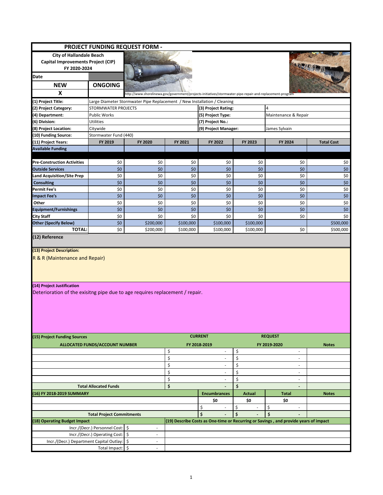|                                                                                                            |                                       | PROJECT FUNDING REQUEST FORM -                                                                            |            |                                |                                |                                                                                      |                   |  |
|------------------------------------------------------------------------------------------------------------|---------------------------------------|-----------------------------------------------------------------------------------------------------------|------------|--------------------------------|--------------------------------|--------------------------------------------------------------------------------------|-------------------|--|
| <b>City of Hallandale Beach</b>                                                                            |                                       |                                                                                                           |            |                                |                                |                                                                                      |                   |  |
| Capital Improvements Project (CIP)                                                                         |                                       |                                                                                                           |            |                                |                                |                                                                                      |                   |  |
| FY 2020-2024                                                                                               |                                       |                                                                                                           |            |                                |                                |                                                                                      | ARIWITH ALBUM     |  |
| <b>Date</b>                                                                                                |                                       |                                                                                                           |            |                                |                                |                                                                                      |                   |  |
| <b>NEW</b>                                                                                                 | <b>ONGOING</b>                        |                                                                                                           |            |                                |                                |                                                                                      |                   |  |
| X                                                                                                          |                                       |                                                                                                           |            |                                |                                |                                                                                      |                   |  |
|                                                                                                            |                                       | nttp://www.shorelinewa.gov/government/projects-initiatives/stormwater-pipe-repair-and-replacement-program |            |                                |                                |                                                                                      |                   |  |
| (1) Project Title:                                                                                         |                                       | Large Diameter Stormwater Pipe Replacement / New Installation / Cleaning                                  |            |                                |                                |                                                                                      |                   |  |
| (2) Project Category:                                                                                      | STORMWATER PROJECTS                   |                                                                                                           |            | (3) Project Rating:            |                                | 4                                                                                    |                   |  |
| (4) Department:                                                                                            | Public Works                          |                                                                                                           |            | (5) Project Type:              |                                | Maintenance & Repair                                                                 |                   |  |
| (6) Division:                                                                                              | <b>Utilities</b>                      |                                                                                                           |            | (7) Project No.:               |                                |                                                                                      |                   |  |
| (8) Project Location:                                                                                      | Citywide                              |                                                                                                           |            | (9) Project Manager:           |                                | James Sylvain                                                                        |                   |  |
| (10) Funding Source:                                                                                       | Stormwater Fund (440)                 |                                                                                                           |            |                                |                                |                                                                                      |                   |  |
| (11) Project Years:                                                                                        | FY 2019                               | FY 2020                                                                                                   | FY 2021    | FY 2022                        | FY 2023                        | FY 2024                                                                              | <b>Total Cost</b> |  |
| <b>Available Funding</b>                                                                                   |                                       |                                                                                                           |            |                                |                                |                                                                                      |                   |  |
|                                                                                                            |                                       |                                                                                                           |            |                                |                                |                                                                                      |                   |  |
| <b>Pre-Construction Activities</b><br><b>Outside Services</b>                                              | \$0<br>\$0                            | \$0<br>\$0                                                                                                | \$0<br>\$0 | \$0<br>\$0                     | \$0<br>\$0                     | \$0<br>\$0                                                                           | \$0<br>$$0$$      |  |
| Land Acquisition/Site Prep                                                                                 | \$0                                   | \$0                                                                                                       | \$0        | \$0                            | \$0                            | \$0                                                                                  | $\$0$             |  |
| <b>Consulting</b>                                                                                          | \$0                                   | \$0                                                                                                       | \$0        | \$0                            | \$0                            | \$0                                                                                  | $$0$$             |  |
| <b>Permit Fee's</b>                                                                                        | \$0                                   | \$0                                                                                                       | \$0        | \$0                            | \$0                            | \$0                                                                                  | $$0$$             |  |
| <b>Impact Fee's</b>                                                                                        | \$0                                   | \$0                                                                                                       | \$0        | \$0                            | \$0                            | \$0                                                                                  | $$0$$             |  |
| Other                                                                                                      | \$0                                   | \$0                                                                                                       | \$0        | \$0                            | \$0                            | \$0                                                                                  | \$0               |  |
| Equipment/Furnishings                                                                                      | \$0                                   | \$0                                                                                                       | \$0        | \$0                            | \$0                            | \$0                                                                                  | $$0$$             |  |
| <b>City Staff</b>                                                                                          | \$0                                   | \$0                                                                                                       | \$0        | \$0                            | \$0                            | \$0                                                                                  | \$0               |  |
| <b>Other (Specify Below)</b>                                                                               | \$0                                   | \$200,000                                                                                                 | \$100,000  | \$100,000                      | \$100,000                      |                                                                                      | \$500,000         |  |
| <b>TOTAL:</b>                                                                                              | \$0                                   | \$200,000                                                                                                 | \$100,000  | \$100,000                      | \$100,000                      | \$0                                                                                  | \$500,000         |  |
| (12) Reference<br>(13) Project Description:                                                                |                                       |                                                                                                           |            |                                |                                |                                                                                      |                   |  |
| R & R (Maintenance and Repair)                                                                             |                                       |                                                                                                           |            |                                |                                |                                                                                      |                   |  |
| (14) Project Justification<br>Deterioration of the exisitng pipe due to age requires replacement / repair. |                                       |                                                                                                           |            |                                |                                |                                                                                      |                   |  |
| (15) Project Funding Sources                                                                               |                                       |                                                                                                           |            | <b>CURRENT</b>                 |                                | <b>REQUEST</b>                                                                       |                   |  |
|                                                                                                            | <b>ALLOCATED FUNDS/ACCOUNT NUMBER</b> |                                                                                                           |            | FY 2018-2019                   |                                | FY 2019-2020                                                                         | <b>Notes</b>      |  |
|                                                                                                            |                                       |                                                                                                           | \$         | $\overline{\phantom{a}}$       | \$                             | $\overline{\phantom{a}}$                                                             |                   |  |
|                                                                                                            |                                       |                                                                                                           | \$         | ٠                              | \$                             | ä,                                                                                   |                   |  |
|                                                                                                            |                                       |                                                                                                           | \$         | $\overline{\phantom{a}}$       | \$                             | $\overline{\phantom{a}}$                                                             |                   |  |
|                                                                                                            |                                       |                                                                                                           | \$         | ٠                              | \$                             | ٠                                                                                    |                   |  |
| \$                                                                                                         |                                       |                                                                                                           |            | ٠                              | \$                             | $\overline{\phantom{a}}$                                                             |                   |  |
|                                                                                                            | <b>Total Allocated Funds</b>          |                                                                                                           | \$         |                                | \$                             | $\overline{\phantom{a}}$                                                             |                   |  |
| (16) FY 2018-2019 SUMMARY                                                                                  |                                       |                                                                                                           |            | <b>Encumbrances</b>            | <b>Actual</b>                  | <b>Total</b>                                                                         | <b>Notes</b>      |  |
|                                                                                                            |                                       |                                                                                                           |            | \$0                            | \$0                            | \$0                                                                                  |                   |  |
|                                                                                                            |                                       |                                                                                                           |            | \$<br>$\overline{\phantom{a}}$ | \$<br>$\overline{\phantom{a}}$ | \$<br>$\overline{\phantom{a}}$                                                       |                   |  |
|                                                                                                            | <b>Total Project Commitments</b>      |                                                                                                           |            | \$                             | \$                             | \$                                                                                   |                   |  |
| (18) Operating Budget Impact                                                                               |                                       |                                                                                                           |            |                                |                                | (19) Describe Costs as One-time or Recurring or Savings, and provide years of impact |                   |  |
|                                                                                                            | Incr./(Decr.) Personnel Cost:         | \$<br>÷.                                                                                                  |            |                                |                                |                                                                                      |                   |  |
|                                                                                                            | Incr./(Decr.) Operating Cost:         | $\ddot{\varsigma}$<br>$\overline{\phantom{a}}$                                                            |            |                                |                                |                                                                                      |                   |  |
| Incr./(Decr.) Department Capital Outlay:   \$                                                              |                                       | $\overline{\phantom{a}}$                                                                                  |            |                                |                                |                                                                                      |                   |  |
|                                                                                                            | Total Impact: \$                      | ÷,                                                                                                        |            |                                |                                |                                                                                      |                   |  |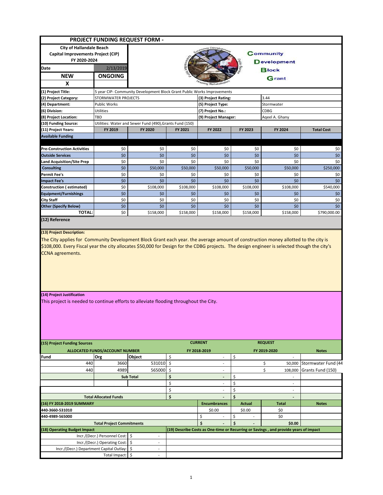|                                                                                                                     |                                       | PROJECT FUNDING REQUEST FORM -                                          |                  |                                |                  |                                                                                      |                     |  |  |
|---------------------------------------------------------------------------------------------------------------------|---------------------------------------|-------------------------------------------------------------------------|------------------|--------------------------------|------------------|--------------------------------------------------------------------------------------|---------------------|--|--|
| <b>City of Hallandale Beach</b>                                                                                     |                                       |                                                                         |                  |                                |                  |                                                                                      |                     |  |  |
| Capital Improvements Project (CIP)                                                                                  |                                       |                                                                         |                  |                                |                  | <b>Community</b>                                                                     |                     |  |  |
| FY 2020-2024                                                                                                        |                                       |                                                                         |                  |                                |                  | <b>Development</b>                                                                   |                     |  |  |
| Date                                                                                                                | 2/13/2019                             |                                                                         | <b>Block</b>     |                                |                  |                                                                                      |                     |  |  |
| <b>NEW</b>                                                                                                          | <b>ONGOING</b>                        |                                                                         | Grant            |                                |                  |                                                                                      |                     |  |  |
| X                                                                                                                   |                                       |                                                                         |                  |                                |                  |                                                                                      |                     |  |  |
| (1) Project Title:                                                                                                  |                                       | 5 year CIP- Community Development Block Grant Public Works Improvements |                  |                                |                  |                                                                                      |                     |  |  |
| (2) Project Category:                                                                                               | STORMWATER PROJECTS                   |                                                                         |                  | (3) Project Rating:            |                  | 3.44                                                                                 |                     |  |  |
| (4) Department:                                                                                                     | Public Works                          |                                                                         |                  | (5) Project Type:              |                  | Stormwater                                                                           |                     |  |  |
| (6) Division:                                                                                                       | Utilities                             |                                                                         |                  | (7) Project No.:               |                  | CDBG                                                                                 |                     |  |  |
| (8) Project Location:                                                                                               | TBD                                   |                                                                         |                  | (9) Project Manager:           |                  | Aqeel A. Ghany                                                                       |                     |  |  |
| (10) Funding Source:                                                                                                |                                       | Utilities: Water and Sewer Fund (490), Grants Fund (150)                |                  |                                |                  |                                                                                      |                     |  |  |
| (11) Project Years:                                                                                                 | FY 2019                               | FY 2020                                                                 | FY 2021          | FY 2022                        | FY 2023          | FY 2024                                                                              | <b>Total Cost</b>   |  |  |
| <b>Available Funding</b>                                                                                            |                                       |                                                                         |                  |                                |                  |                                                                                      |                     |  |  |
|                                                                                                                     |                                       |                                                                         |                  |                                |                  |                                                                                      |                     |  |  |
| <b>Pre-Construction Activities</b>                                                                                  | \$0                                   | \$0                                                                     | \$0              | \$0                            | \$0              | \$0                                                                                  | \$0                 |  |  |
| <b>Outside Services</b>                                                                                             | \$0                                   | \$0                                                                     | \$0              | \$0                            | \$0              | \$0                                                                                  | \$0                 |  |  |
| <b>Land Acquisition/Site Prep</b>                                                                                   | \$0                                   | \$0                                                                     | \$0              | \$0                            | \$0              | \$0                                                                                  | \$0                 |  |  |
| <b>Consulting</b>                                                                                                   | \$0                                   | \$50,000                                                                | \$50,000         | \$50,000                       | \$50,000         | \$50,000                                                                             | \$250,000           |  |  |
| Permit Fee's                                                                                                        | \$0                                   | \$0                                                                     | \$0              | \$0                            | \$0              | \$0                                                                                  | \$0                 |  |  |
| <b>Impact Fee's</b>                                                                                                 | \$0                                   | \$0<br>\$108,000                                                        | \$0              | \$0<br>\$108,000               | \$0<br>\$108,000 | \$0<br>\$108,000                                                                     | \$0                 |  |  |
| Construction (estimated)<br>Equipment/Furnishings                                                                   | \$0<br>\$0                            | \$0                                                                     | \$108,000<br>\$0 | \$0                            | \$0              | \$0                                                                                  | \$540,000<br>\$0    |  |  |
| City Staff                                                                                                          | \$0                                   | \$0                                                                     | \$0              | \$0                            | \$0              | \$0                                                                                  | \$0                 |  |  |
| Other (Specify Below)                                                                                               | \$0                                   | \$0                                                                     | \$0              | \$0                            | \$0              | \$0                                                                                  | \$0                 |  |  |
| <b>TOTAL:</b>                                                                                                       | \$0                                   | \$158,000                                                               | \$158,000        | \$158,000                      | \$158,000        | \$158,000                                                                            | \$790,000.00        |  |  |
| (12) Reference                                                                                                      |                                       |                                                                         |                  |                                |                  |                                                                                      |                     |  |  |
| (14) Project Justification<br>This project is needed to continue efforts to alleviate flooding throughout the City. |                                       |                                                                         |                  |                                |                  |                                                                                      |                     |  |  |
| (15) Project Funding Sources                                                                                        | <b>ALLOCATED FUNDS/ACCOUNT NUMBER</b> |                                                                         |                  | <b>CURRENT</b><br>FY 2018-2019 |                  | <b>REQUEST</b><br>FY 2019-2020                                                       | <b>Notes</b>        |  |  |
| Fund                                                                                                                | Org                                   | Object                                                                  | \$               | $\overline{\phantom{a}}$       | \$               | $\overline{a}$                                                                       |                     |  |  |
| 440                                                                                                                 | 3660                                  | 531010 \$                                                               |                  | $\overline{\phantom{a}}$       |                  | \$<br>50,000                                                                         | Stormwater Fund (44 |  |  |
| 440                                                                                                                 | 4989                                  | 565000 \$                                                               |                  |                                |                  | Ś.<br>108,000                                                                        | Grants Fund (150)   |  |  |
|                                                                                                                     |                                       | <b>Sub Total</b>                                                        | \$               |                                | \$               |                                                                                      |                     |  |  |
|                                                                                                                     |                                       |                                                                         | \$               |                                | \$               | $\overline{a}$                                                                       |                     |  |  |
|                                                                                                                     |                                       |                                                                         | \$               | $\overline{a}$                 | \$               | $\overline{\phantom{a}}$                                                             |                     |  |  |
|                                                                                                                     | <b>Total Allocated Funds</b>          |                                                                         | \$               |                                | \$               |                                                                                      |                     |  |  |
| (16) FY 2018-2019 SUMMARY                                                                                           |                                       |                                                                         |                  | <b>Encumbrances</b>            | <b>Actual</b>    | <b>Total</b>                                                                         | <b>Notes</b>        |  |  |
| 440-3660-531010                                                                                                     |                                       |                                                                         |                  | \$0.00                         | \$0.00           | \$0                                                                                  |                     |  |  |
| 440-4989-565000                                                                                                     |                                       |                                                                         |                  | \$<br>$\overline{\phantom{a}}$ | \$<br>$\sim$     | \$0                                                                                  |                     |  |  |
|                                                                                                                     | <b>Total Project Commitments</b>      |                                                                         |                  | \$                             | \$               | \$0.00                                                                               |                     |  |  |
| (18) Operating Budget Impact                                                                                        |                                       |                                                                         |                  |                                |                  | (19) Describe Costs as One-time or Recurring or Savings, and provide years of impact |                     |  |  |
|                                                                                                                     | Incr./(Decr.) Personnel Cost:   \$    | $\overline{\phantom{a}}$                                                |                  |                                |                  |                                                                                      |                     |  |  |
|                                                                                                                     | Incr./(Decr.) Operating Cost:   \$    | $\overline{\phantom{a}}$                                                |                  |                                |                  |                                                                                      |                     |  |  |
| Incr./(Decr.) Department Capital Outlay:   \$                                                                       |                                       | $\overline{\phantom{a}}$                                                |                  |                                |                  |                                                                                      |                     |  |  |
|                                                                                                                     | Total Impact: \$                      | $\overline{a}$                                                          |                  |                                |                  |                                                                                      |                     |  |  |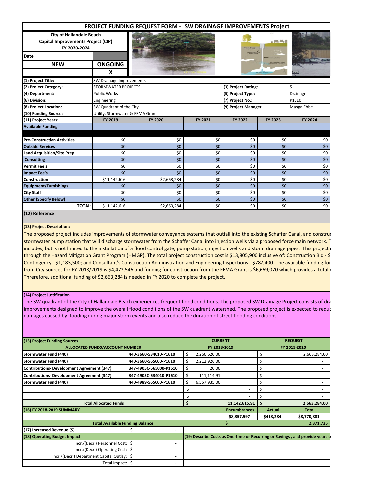| PROJECT FUNDING REQUEST FORM - SW DRAINAGE IMPROVEMENTS Project                               |                                  |             |         |                      |                                       |            |  |  |  |
|-----------------------------------------------------------------------------------------------|----------------------------------|-------------|---------|----------------------|---------------------------------------|------------|--|--|--|
| <b>City of Hallandale Beach</b><br>Capital Improvements Project (CIP)<br>FY 2020-2024<br>Date |                                  |             |         |                      | <b>OAT</b><br>Vertical Pipe Ltr Cases |            |  |  |  |
| <b>NEW</b>                                                                                    | <b>ONGOING</b><br>X              |             |         |                      |                                       |            |  |  |  |
| (1) Project Title:                                                                            | SW Drainage Improvements         |             |         |                      |                                       |            |  |  |  |
| (2) Project Category:                                                                         | STORMWATER PROJECTS              |             |         | (3) Project Rating:  |                                       | 5          |  |  |  |
| (4) Department:                                                                               | <b>Public Works</b>              |             |         | (5) Project Type:    |                                       | Drainage   |  |  |  |
| (6) Division:                                                                                 | Engineering                      |             |         | (7) Project No.:     |                                       | P1610      |  |  |  |
| (8) Project Location:                                                                         | SW Quadrant of the City          |             |         | (9) Project Manager: |                                       | Manga Ebbe |  |  |  |
| (10) Funding Source:                                                                          | Utility, Stormwater & FEMA Grant |             |         |                      |                                       |            |  |  |  |
| (11) Project Years:                                                                           | FY 2019                          | FY 2020     | FY 2021 | FY 2022              | FY 2023                               | FY 2024    |  |  |  |
| <b>Available Funding</b>                                                                      |                                  |             |         |                      |                                       |            |  |  |  |
|                                                                                               |                                  |             |         |                      |                                       |            |  |  |  |
| <b>Pre-Construction Activities</b>                                                            | \$0                              | \$0         | \$0     | \$0                  | \$0                                   | \$0        |  |  |  |
| <b>Outside Services</b>                                                                       | \$0                              | \$0         | \$0     | \$0                  | \$0                                   | \$0        |  |  |  |
| <b>Land Acquisition/Site Prep</b>                                                             | \$0                              | \$0         | \$0     | \$0                  | \$0                                   | \$0        |  |  |  |
| <b>Consulting</b>                                                                             | \$0                              | \$0         | \$0     | \$0                  | \$0                                   | \$0        |  |  |  |
| <b>Permit Fee's</b>                                                                           | \$0                              | \$0         | \$0     | \$0                  | \$0                                   | \$0        |  |  |  |
| <b>Impact Fee's</b>                                                                           | \$0                              | \$0         | \$0     | \$0                  | \$0                                   | \$0        |  |  |  |
| Construction                                                                                  | \$11,142,616                     | \$2,663,284 | \$0     | \$0                  | \$0                                   | \$0        |  |  |  |
| <b>Equipment/Furnishings</b>                                                                  | \$0                              | \$0         | \$0     | \$0                  | \$0                                   | \$0        |  |  |  |
| City Staff                                                                                    | \$0                              | \$0         | \$0     | \$0                  | \$0                                   | \$0        |  |  |  |
| <b>Other (Specify Below)</b>                                                                  | \$0                              | \$0         | \$0     | \$0                  | \$0                                   | \$0        |  |  |  |
| <b>TOTAL:</b>                                                                                 | \$11,142,616                     | \$2,663,284 | \$0     | \$0                  | \$0                                   | \$0        |  |  |  |

#### **(12) Reference**

## **(13) Project Description:**

The proposed project includes improvements of stormwater conveyance systems that outfall into the existing Schaffer Canal, and construction stormwater pump station that will discharge stormwater from the Schaffer Canal into injection wells via a proposed force main network. T includes, but is not limited to the installation of a flood control gate, pump station, injection wells and storm drainage pipes. This project i through the Hazard Mitigation Grant Program (HMGP). The total project construction cost is \$13,805,900 inclusive of: Construction Bid - \$ Contingency - \$1,183,500; and Consultant's Construction Administration and Engineering Inspections - \$787,400. The available funding for from City sources for FY 2018/2019 is \$4,473,546 and funding for construction from the FEMA Grant is \$6,669,070 which provides a total of Threrefore, additional funding of \$2,663,284 is needed in FY 2020 to complete the project.

#### **(14) Project Justification**

The SW quadrant of the City of Hallandale Beach experiences frequent flood conditions. The proposed SW Drainage Project consists of drainage improvements designed to improve the overall flood conditions of the SW quadrant watershed. The proposed project is expected to reduc damages caused by flooding during major storm events and also reduce the duration of street flooding conditions.

|                                                   |                        |   | <b>CURRENT</b> |                     |                |                                                                               |  |
|---------------------------------------------------|------------------------|---|----------------|---------------------|----------------|-------------------------------------------------------------------------------|--|
| (15) Project Funding Sources                      |                        |   |                |                     | <b>REQUEST</b> |                                                                               |  |
| ALLOCATED FUNDS/ACCOUNT NUMBER                    |                        |   | FY 2018-2019   |                     |                | FY 2019-2020                                                                  |  |
| <b>Stormwater Fund (440)</b>                      | 440-3660-534010-P1610  | Ś | 2,260,620.00   |                     |                | 2,663,284.00                                                                  |  |
| <b>Stormwater Fund (440)</b>                      | 440-3660-565000-P1610  | Ś | 2,212,926.00   |                     |                |                                                                               |  |
| <b>Contributions- Development Agreement (347)</b> | 347-4905C-565000-P1610 | Ś | 20.00          |                     |                |                                                                               |  |
| <b>Contributions- Development Agreement (347)</b> | 347-4905C-534010-P1610 | Ś | 111,114.91     |                     |                |                                                                               |  |
| <b>Stormwater Fund (440)</b>                      | 440-4989-565000-P1610  | ς | 6,557,935.00   |                     |                |                                                                               |  |
|                                                   |                        | ς |                | ٠                   |                | $\overline{\phantom{a}}$                                                      |  |
|                                                   |                        |   |                |                     |                |                                                                               |  |
| <b>Total Allocated Funds</b>                      |                        |   |                | 11,142,615.91       | \$             | 2,663,284.00                                                                  |  |
| (16) FY 2018-2019 SUMMARY                         |                        |   |                | <b>Encumbrances</b> | Actual         | <b>Total</b>                                                                  |  |
|                                                   |                        |   |                | \$8,357,597         | \$413,284      | \$8,770,881                                                                   |  |
| <b>Total Available Funding Balance</b>            |                        |   |                |                     |                | 2,371,735                                                                     |  |
| (17) Increased Revenue (\$)                       | ۰                      |   |                |                     |                |                                                                               |  |
| (18) Operating Budget Impact                      |                        |   |                |                     |                | (19) Describe Costs as One-time or Recurring or Savings, and provide years of |  |
| Incr./(Decr.) Personnel Cost:   \$                | ٠                      |   |                |                     |                |                                                                               |  |
| Incr./(Decr.) Operating Cost:                     | \$.<br>۰               |   |                |                     |                |                                                                               |  |
| Incr./(Decr.) Department Capital Outlay:          | S<br>٠                 |   |                |                     |                |                                                                               |  |
| Total Impact:                                     | -\$                    |   |                |                     |                |                                                                               |  |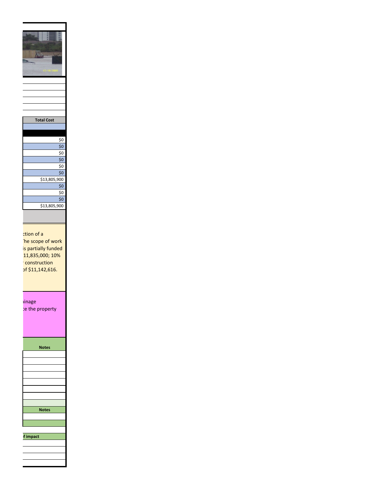

The projection of a he scope of work is partially funded 11,835,000; 10%  $\cdot$  construction of \$11,142,616.

The Swinage ce the property

| <b>Notes</b> |  |
|--------------|--|
|              |  |
|              |  |
|              |  |
|              |  |
|              |  |
|              |  |
|              |  |
|              |  |
|              |  |
| <b>Notes</b> |  |
|              |  |
|              |  |
|              |  |
|              |  |

f impact